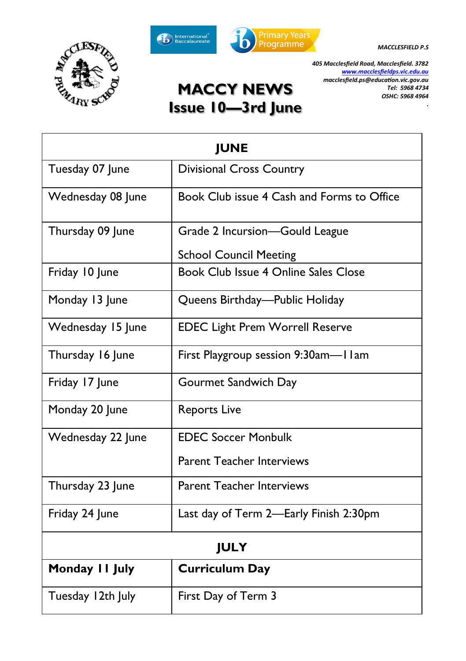





*.*

*405 Macclesfield Road, Macclesfield. 3782 [www.macclesfieldps.vic.edu.au](http://www.macclesfieldps.vic.edu.au) macclesfield.ps@education.vic.gov.au Tel: 5968 4734 OSHC: 5968 4964* 

# **MACCY NEWS Issue 10—3rd June**

| <b>IUNE</b>       |                                            |  |  |  |  |  |
|-------------------|--------------------------------------------|--|--|--|--|--|
| Tuesday 07 June   | <b>Divisional Cross Country</b>            |  |  |  |  |  |
| Wednesday 08 June | Book Club issue 4 Cash and Forms to Office |  |  |  |  |  |
| Thursday 09 June  | Grade 2 Incursion-Gould League             |  |  |  |  |  |
|                   | <b>School Council Meeting</b>              |  |  |  |  |  |
| Friday 10 June    | Book Club Issue 4 Online Sales Close       |  |  |  |  |  |
| Monday 13 June    | Queens Birthday—Public Holiday             |  |  |  |  |  |
| Wednesday 15 June | <b>EDEC Light Prem Worrell Reserve</b>     |  |  |  |  |  |
| Thursday 16 June  | First Playgroup session 9:30am-Il am       |  |  |  |  |  |
| Friday 17 June    | Gourmet Sandwich Day                       |  |  |  |  |  |
| Monday 20 June    | <b>Reports Live</b>                        |  |  |  |  |  |
| Wednesday 22 June | <b>EDEC Soccer Monbulk</b>                 |  |  |  |  |  |
|                   | <b>Parent Teacher Interviews</b>           |  |  |  |  |  |
| Thursday 23 June  | <b>Parent Teacher Interviews</b>           |  |  |  |  |  |
| Friday 24 June    | Last day of Term 2-Early Finish 2:30pm     |  |  |  |  |  |
| <b>JULY</b>       |                                            |  |  |  |  |  |
| Monday II July    | <b>Curriculum Day</b>                      |  |  |  |  |  |
| Tuesday 12th July | First Day of Term 3                        |  |  |  |  |  |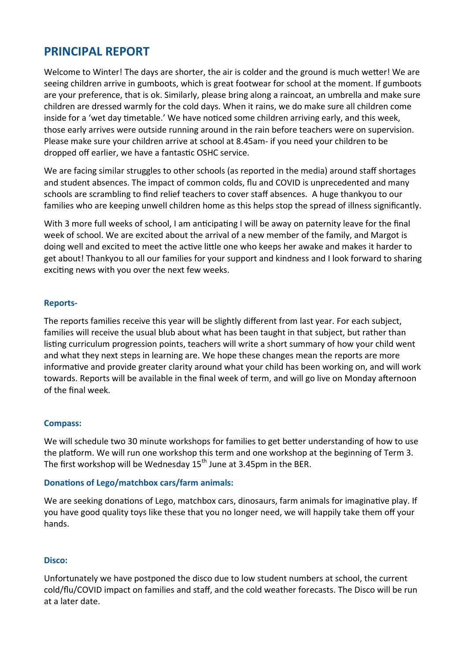# **PRINCIPAL REPORT**

Welcome to Winter! The days are shorter, the air is colder and the ground is much wetter! We are seeing children arrive in gumboots, which is great footwear for school at the moment. If gumboots are your preference, that is ok. Similarly, please bring along a raincoat, an umbrella and make sure children are dressed warmly for the cold days. When it rains, we do make sure all children come inside for a 'wet day timetable.' We have noticed some children arriving early, and this week, those early arrives were outside running around in the rain before teachers were on supervision. Please make sure your children arrive at school at 8.45am- if you need your children to be dropped off earlier, we have a fantastic OSHC service.

We are facing similar struggles to other schools (as reported in the media) around staff shortages and student absences. The impact of common colds, flu and COVID is unprecedented and many schools are scrambling to find relief teachers to cover staff absences. A huge thankyou to our families who are keeping unwell children home as this helps stop the spread of illness significantly.

With 3 more full weeks of school, I am anticipating I will be away on paternity leave for the final week of school. We are excited about the arrival of a new member of the family, and Margot is doing well and excited to meet the active little one who keeps her awake and makes it harder to get about! Thankyou to all our families for your support and kindness and I look forward to sharing exciting news with you over the next few weeks.

#### **Reports-**

The reports families receive this year will be slightly different from last year. For each subject, families will receive the usual blub about what has been taught in that subject, but rather than listing curriculum progression points, teachers will write a short summary of how your child went and what they next steps in learning are. We hope these changes mean the reports are more informative and provide greater clarity around what your child has been working on, and will work towards. Reports will be available in the final week of term, and will go live on Monday afternoon of the final week.

#### **Compass:**

We will schedule two 30 minute workshops for families to get better understanding of how to use the platform. We will run one workshop this term and one workshop at the beginning of Term 3. The first workshop will be Wednesday 15<sup>th</sup> June at 3.45pm in the BER.

#### **Donations of Lego/matchbox cars/farm animals:**

We are seeking donations of Lego, matchbox cars, dinosaurs, farm animals for imaginative play. If you have good quality toys like these that you no longer need, we will happily take them off your hands.

#### **Disco:**

Unfortunately we have postponed the disco due to low student numbers at school, the current cold/flu/COVID impact on families and staff, and the cold weather forecasts. The Disco will be run at a later date.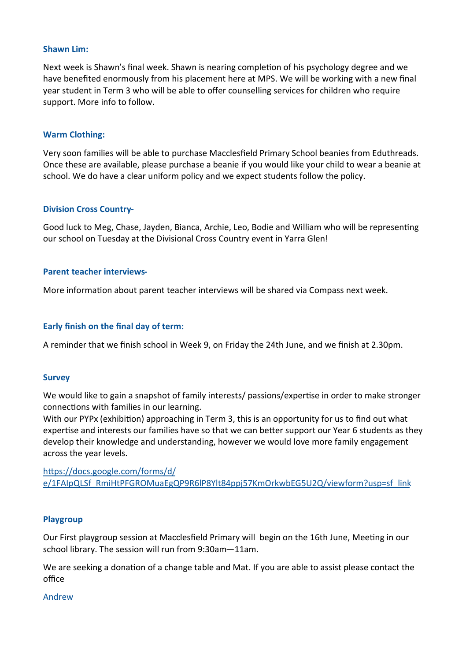#### **Shawn Lim:**

Next week is Shawn's final week. Shawn is nearing completion of his psychology degree and we have benefited enormously from his placement here at MPS. We will be working with a new final year student in Term 3 who will be able to offer counselling services for children who require support. More info to follow.

#### **Warm Clothing:**

Very soon families will be able to purchase Macclesfield Primary School beanies from Eduthreads. Once these are available, please purchase a beanie if you would like your child to wear a beanie at school. We do have a clear uniform policy and we expect students follow the policy.

#### **Division Cross Country-**

Good luck to Meg, Chase, Jayden, Bianca, Archie, Leo, Bodie and William who will be representing our school on Tuesday at the Divisional Cross Country event in Yarra Glen!

#### **Parent teacher interviews-**

More information about parent teacher interviews will be shared via Compass next week.

#### **Early finish on the final day of term:**

A reminder that we finish school in Week 9, on Friday the 24th June, and we finish at 2.30pm.

#### **Survey**

We would like to gain a snapshot of family interests/ passions/expertise in order to make stronger connections with families in our learning.

With our PYPx (exhibition) approaching in Term 3, this is an opportunity for us to find out what expertise and interests our families have so that we can better support our Year 6 students as they develop their knowledge and understanding, however we would love more family engagement across the year levels.

[https://docs.google.com/forms/d/](https://aus01.safelinks.protection.outlook.com/?url=https%3A%2F%2Fdocs.google.com%2Fforms%2Fd%2Fe%2F1FAIpQLSf_RmiHtPFGROMuaEgQP9R6lP8Ylt84ppj57KmOrkwbEG5U2Q%2Fviewform%3Fusp%3Dsf_link&data=05%7C01%7CKylie.Aspinall%40education.vic.gov.au%7C620c701a2bc84ca400b7) [e/1FAIpQLSf\\_RmiHtPFGROMuaEgQP9R6lP8Ylt84ppj57KmOrkwbEG5U2Q/viewform?usp=sf\\_link](https://aus01.safelinks.protection.outlook.com/?url=https%3A%2F%2Fdocs.google.com%2Fforms%2Fd%2Fe%2F1FAIpQLSf_RmiHtPFGROMuaEgQP9R6lP8Ylt84ppj57KmOrkwbEG5U2Q%2Fviewform%3Fusp%3Dsf_link&data=05%7C01%7CKylie.Aspinall%40education.vic.gov.au%7C620c701a2bc84ca400b7)

#### **Playgroup**

Our First playgroup session at Macclesfield Primary will begin on the 16th June, Meeting in our school library. The session will run from 9:30am—11am.

We are seeking a donation of a change table and Mat. If you are able to assist please contact the office

#### Andrew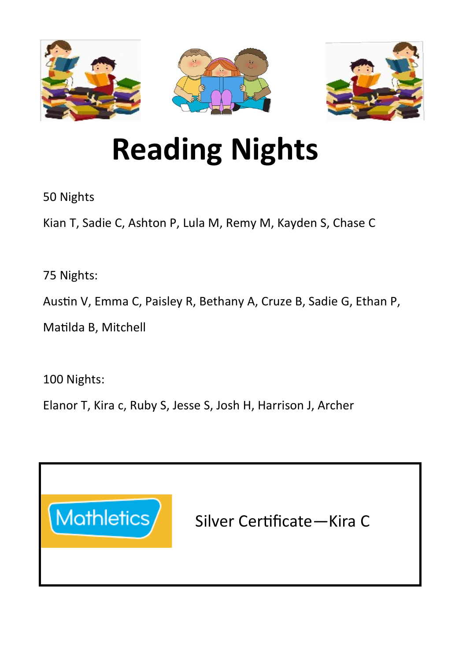



# **Reading Nights**

50 Nights

Kian T, Sadie C, Ashton P, Lula M, Remy M, Kayden S, Chase C

75 Nights:

Austin V, Emma C, Paisley R, Bethany A, Cruze B, Sadie G, Ethan P,

Matilda B, Mitchell

100 Nights:

Elanor T, Kira c, Ruby S, Jesse S, Josh H, Harrison J, Archer



Silver Certificate—Kira C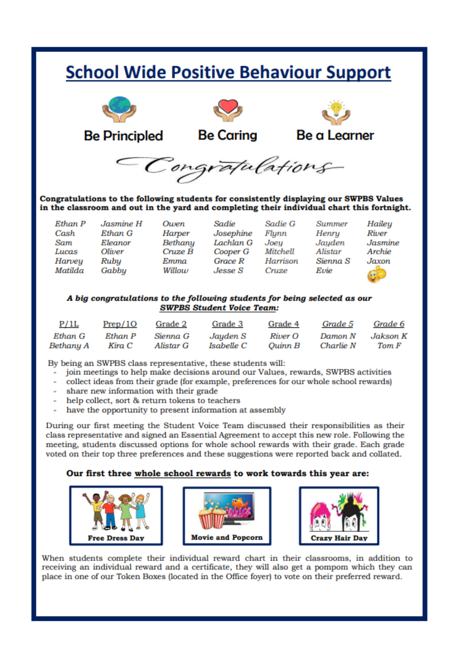# **School Wide Positive Behaviour Support**



Congratulations to the following students for consistently displaying our SWPBS Values in the classroom and out in the yard and completing their individual chart this fortnight.

| Ethan P |  |
|---------|--|
| Cash    |  |
| Sam     |  |
| Lucas   |  |
| Harvey  |  |
| Matilda |  |

Jasmine H  $E<sub>than</sub> G$ Eleanor Oliver Rubu Gabbu

Owen Harner Bethanu  $Cruze \tilde{B}$ Emma Willow

Sadie Sadie G Josephine Flunn Lachlan G Joeu Cooper G Mitchell  $GraceR$ Harrison  $I$ *esse*  $S$ Cruze

**Summer** Henru Jauden Alistar Sienna S Evie

Haileu River **Jasmine** Archie Jaxon.

#### A big congratulations to the following students for being selected as our **SWPBS Student Voice Team:**

| P/1L      | Prep/10 | Grade 2   | Grade 3    | Grade 4 | Grade 5   | Grade 6  |
|-----------|---------|-----------|------------|---------|-----------|----------|
| Ethan G   | Ethan P | Sienna G  | Jayden S   | River O | Damon N   | Jakson K |
| Bethany A | Kira C  | Alistar G | Isabelle C | Ouinn B | Charlie N | Tom F    |

By being an SWPBS class representative, these students will:

- join meetings to help make decisions around our Values, rewards, SWPBS activities
- collect ideas from their grade (for example, preferences for our whole school rewards)
- share new information with their grade
- help collect, sort & return tokens to teachers
- have the opportunity to present information at assembly

During our first meeting the Student Voice Team discussed their responsibilities as their class representative and signed an Essential Agreement to accept this new role. Following the meeting, students discussed options for whole school rewards with their grade. Each grade voted on their top three preferences and these suggestions were reported back and collated.

#### Our first three whole school rewards to work towards this year are:







When students complete their individual reward chart in their classrooms, in addition to receiving an individual reward and a certificate, they will also get a pompom which they can place in one of our Token Boxes (located in the Office foyer) to vote on their preferred reward.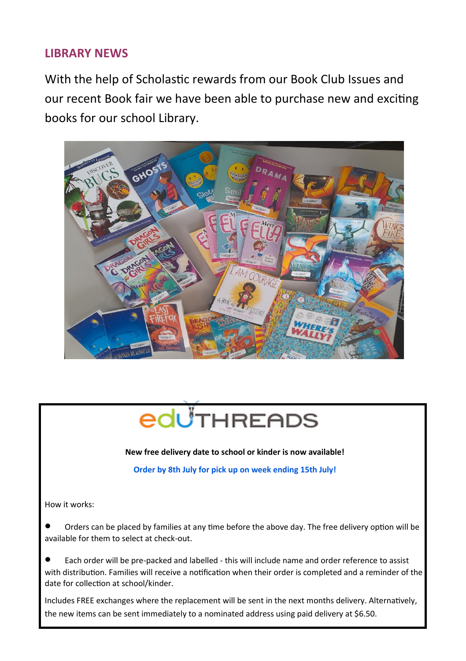## **LIBRARY NEWS**

With the help of Scholastic rewards from our Book Club Issues and our recent Book fair we have been able to purchase new and exciting books for our school Library.





**New free delivery date to school or kinder is now available!**

**Order by 8th July for pick up on week ending 15th July!**

How it works:

• Orders can be placed by families at any time before the above day. The free delivery option will be available for them to select at check-out.

• Each order will be pre-packed and labelled - this will include name and order reference to assist with distribution. Families will receive a notification when their order is completed and a reminder of the date for collection at school/kinder.

Includes FREE exchanges where the replacement will be sent in the next months delivery. Alternatively, the new items can be sent immediately to a nominated address using paid delivery at \$6.50.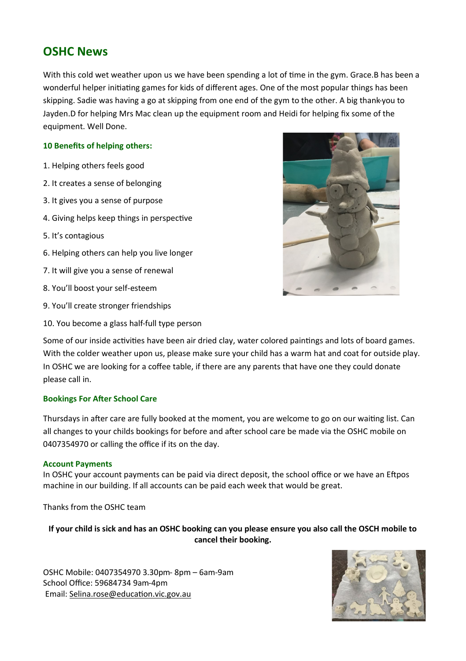# **OSHC News**

With this cold wet weather upon us we have been spending a lot of time in the gym. Grace B has been a wonderful helper initiating games for kids of different ages. One of the most popular things has been skipping. Sadie was having a go at skipping from one end of the gym to the other. A big thank-you to Jayden.D for helping Mrs Mac clean up the equipment room and Heidi for helping fix some of the equipment. Well Done.

#### **10 Benefits of helping others:**

- 1. Helping others feels good
- 2. It creates a sense of belonging
- 3. It gives you a sense of purpose
- 4. Giving helps keep things in perspective
- 5. It's contagious
- 6. Helping others can help you live longer
- 7. It will give you a sense of renewal
- 8. You'll boost your self-esteem
- 9. You'll create stronger friendships
- 10. You become a glass half-full type person



Some of our inside activities have been air dried clay, water colored paintings and lots of board games. With the colder weather upon us, please make sure your child has a warm hat and coat for outside play. In OSHC we are looking for a coffee table, if there are any parents that have one they could donate please call in.

#### **Bookings For After School Care**

Thursdays in after care are fully booked at the moment, you are welcome to go on our waiting list. Can all changes to your childs bookings for before and after school care be made via the OSHC mobile on 0407354970 or calling the office if its on the day.

#### **Account Payments**

In OSHC your account payments can be paid via direct deposit, the school office or we have an Eftpos machine in our building. If all accounts can be paid each week that would be great.

Thanks from the OSHC team

**If your child is sick and has an OSHC booking can you please ensure you also call the OSCH mobile to cancel their booking.**

OSHC Mobile: 0407354970 3.30pm- 8pm – 6am-9am School Office: 59684734 9am-4pm Email: [Selina.rose@education.vic.gov.au](mailto:Selina.rose@education.vic.gov.au)